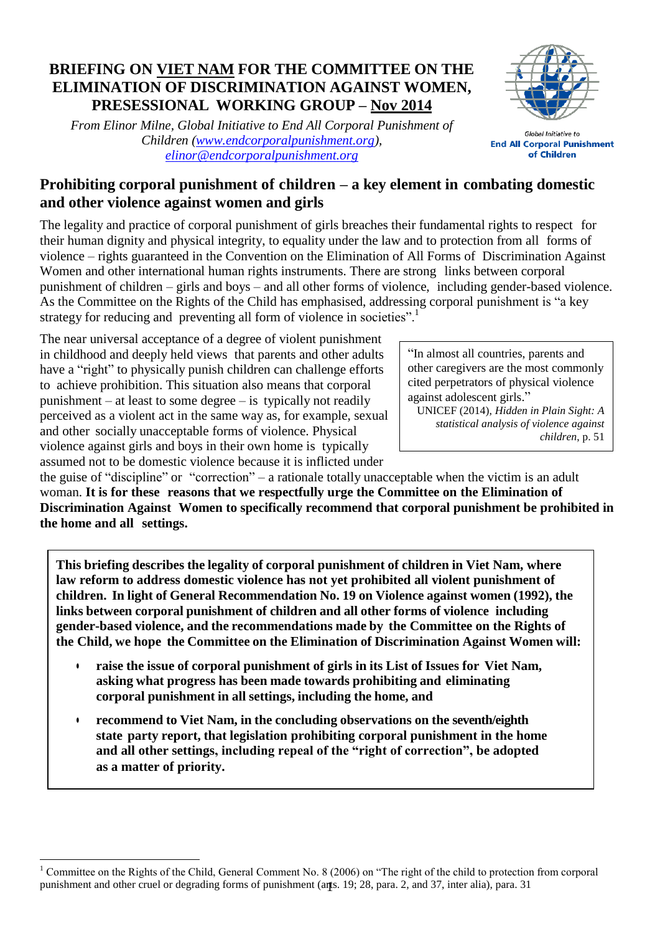### **BRIEFING ON VIET NAM FOR THE COMMITTEE ON THE ELIMINATION OF DISCRIMINATION AGAINST WOMEN, PRESESSIONAL WORKING GROUP – Nov 2014**

*From Elinor Milne, Global Initiative to End All Corporal Punishment of Children [\(www.endcorporalpunishment.org\)](http://www.endcorporalpunishment.org/), [elinor@endcorporalpunishment.org](mailto:elinor@endcorporalpunishment.org)*



Global Initiative to **End All Corporal Punishment** of Children

# **Prohibiting corporal punishment of children – a key element in combating domestic and other violence against women and girls**

The legality and practice of corporal punishment of girls breaches their fundamental rights to respect for their human dignity and physical integrity, to equality under the law and to protection from all forms of violence – rights guaranteed in the Convention on the Elimination of All Forms of Discrimination Against Women and other international human rights instruments. There are strong links between corporal punishment of children – girls and boys – and all other forms of violence, including gender-based violence. As the Committee on the Rights of the Child has emphasised, addressing corporal punishment is "a key strategy for reducing and preventing all form of violence in societies".<sup>1</sup>

The near universal acceptance of a degree of violent punishment in childhood and deeply held views that parents and other adults have a "right" to physically punish children can challenge efforts to achieve prohibition. This situation also means that corporal punishment – at least to some degree – is typically not readily perceived as a violent act in the same way as, for example, sexual and other socially unacceptable forms of violence. Physical violence against girls and boys in their own home is typically assumed not to be domestic violence because it is inflicted under

**.** 

"In almost all countries, parents and other caregivers are the most commonly cited perpetrators of physical violence against adolescent girls."

UNICEF (2014), *Hidden in Plain Sight: A statistical analysis of violence against children*, p. 51

the guise of "discipline" or "correction" – a rationale totally unacceptable when the victim is an adult woman. **It is for these reasons that we respectfully urge the Committee on the Elimination of Discrimination Against Women to specifically recommend that corporal punishment be prohibited in the home and all settings.**

**This briefing describes the legality of corporal punishment of children in Viet Nam, where law reform to address domestic violence has not yet prohibited all violent punishment of children. In light of General Recommendation No. 19 on Violence against women (1992), the links between corporal punishment of children and all other forms of violence including gender-based violence, and the recommendations made by the Committee on the Rights of the Child, we hope the Committee on the Elimination of Discrimination Against Women will:**

- **raise the issue of corporal punishment of girls in its List of Issues for Viet Nam, asking what progress has been made towards prohibiting and eliminating corporal punishment in all settings, including the home, and**
- **recommend to Viet Nam, in the concluding observations on the seventh/eighth state party report, that legislation prohibiting corporal punishment in the home and all other settings, including repeal of the "right of correction", be adopted as a matter of priority.**

<sup>1</sup> punishment and other cruel or degrading forms of punishment (arts. 19; 28, para. 2, and 37, inter alia), para. 31 <sup>1</sup> Committee on the Rights of the Child, General Comment No. 8 (2006) on "The right of the child to protection from corporal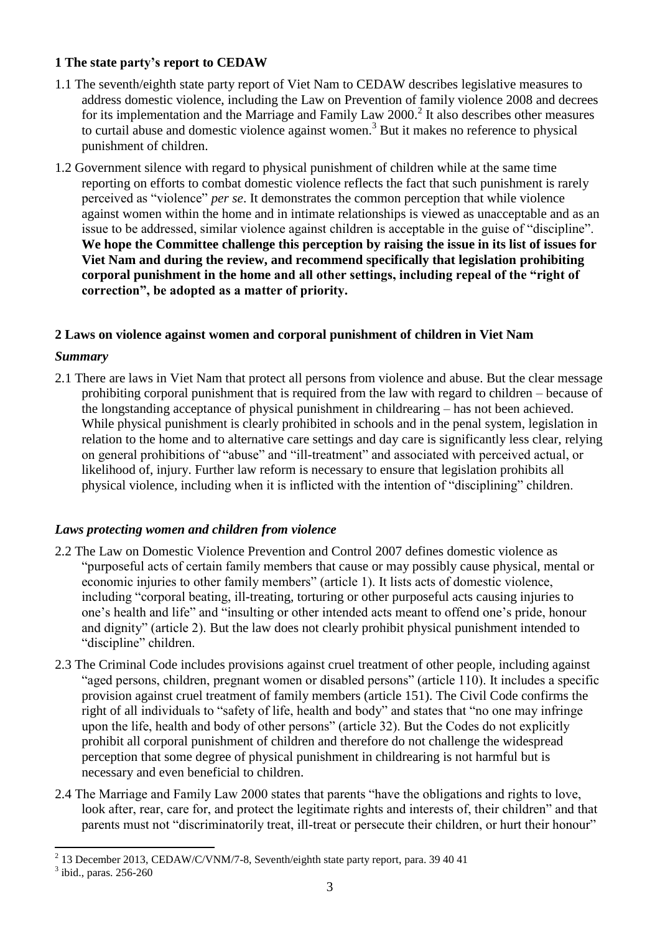### **1 The state party's report to CEDAW**

- 1.1 The seventh/eighth state party report of Viet Nam to CEDAW describes legislative measures to address domestic violence, including the Law on Prevention of family violence 2008 and decrees for its implementation and the Marriage and Family Law 2000.<sup>2</sup> It also describes other measures to curtail abuse and domestic violence against women.<sup>3</sup> But it makes no reference to physical punishment of children.
- 1.2 Government silence with regard to physical punishment of children while at the same time reporting on efforts to combat domestic violence reflects the fact that such punishment is rarely perceived as "violence" *per se*. It demonstrates the common perception that while violence against women within the home and in intimate relationships is viewed as unacceptable and as an issue to be addressed, similar violence against children is acceptable in the guise of "discipline". **We hope the Committee challenge this perception by raising the issue in its list of issues for Viet Nam and during the review, and recommend specifically that legislation prohibiting corporal punishment in the home and all other settings, including repeal of the "right of correction", be adopted as a matter of priority.**

#### **2 Laws on violence against women and corporal punishment of children in Viet Nam**

#### *Summary*

2.1 There are laws in Viet Nam that protect all persons from violence and abuse. But the clear message prohibiting corporal punishment that is required from the law with regard to children – because of the longstanding acceptance of physical punishment in childrearing – has not been achieved. While physical punishment is clearly prohibited in schools and in the penal system, legislation in relation to the home and to alternative care settings and day care is significantly less clear, relying on general prohibitions of "abuse" and "ill-treatment" and associated with perceived actual, or likelihood of, injury. Further law reform is necessary to ensure that legislation prohibits all physical violence, including when it is inflicted with the intention of "disciplining" children.

#### *Laws protecting women and children from violence*

- 2.2 The Law on Domestic Violence Prevention and Control 2007 defines domestic violence as "purposeful acts of certain family members that cause or may possibly cause physical, mental or economic injuries to other family members" (article 1). It lists acts of domestic violence, including "corporal beating, ill-treating, torturing or other purposeful acts causing injuries to one's health and life" and "insulting or other intended acts meant to offend one's pride, honour and dignity" (article 2). But the law does not clearly prohibit physical punishment intended to "discipline" children.
- 2.3 The Criminal Code includes provisions against cruel treatment of other people, including against "aged persons, children, pregnant women or disabled persons" (article 110). It includes a specific provision against cruel treatment of family members (article 151). The Civil Code confirms the right of all individuals to "safety of life, health and body" and states that "no one may infringe upon the life, health and body of other persons" (article 32). But the Codes do not explicitly prohibit all corporal punishment of children and therefore do not challenge the widespread perception that some degree of physical punishment in childrearing is not harmful but is necessary and even beneficial to children.
- 2.4 The Marriage and Family Law 2000 states that parents "have the obligations and rights to love, look after, rear, care for, and protect the legitimate rights and interests of, their children" and that parents must not "discriminatorily treat, ill-treat or persecute their children, or hurt their honour"

 2 13 December 2013, CEDAW/C/VNM/7-8, Seventh/eighth state party report, para. 39 40 41

<sup>&</sup>lt;sup>3</sup> ibid., paras. 256-260